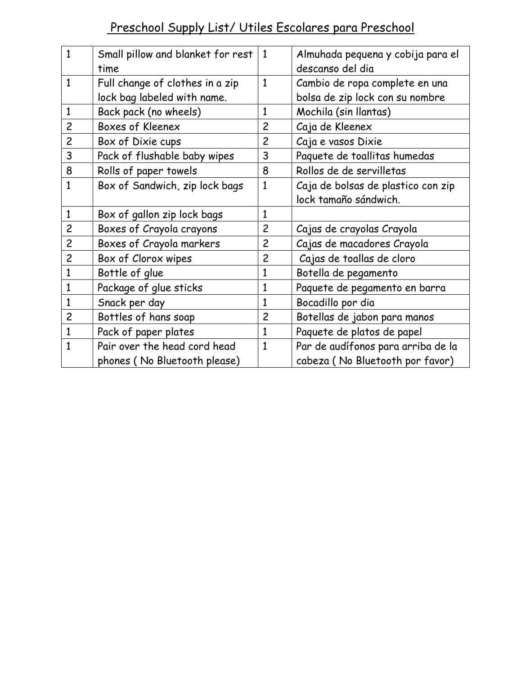# Preschool Supply List/ Utiles Escolares para Preschool

| $\mathbf{1}$   | Small pillow and blanket for rest | 1              | Almuhada pequena y cobija para el  |
|----------------|-----------------------------------|----------------|------------------------------------|
|                | time                              |                | descanso del dia                   |
| $\mathbf{1}$   | Full change of clothes in a zip   | $\mathbf{1}$   | Cambio de ropa complete en una     |
|                | lock bag labeled with name.       |                | bolsa de zip lock con su nombre    |
| $\mathbf{1}$   | Back pack (no wheels)             | 1              | Mochila (sin llantas)              |
| $\overline{c}$ | Boxes of Kleenex                  | $\overline{c}$ | Caja de Kleenex                    |
| $\overline{c}$ | Box of Dixie cups                 | $\overline{c}$ | Caja e vasos Dixie                 |
| 3              | Pack of flushable baby wipes      | 3              | Paquete de toallitas humedas       |
| 8              | Rolls of paper towels             | 8              | Rollos de de servilletas           |
| $\mathbf{1}$   | Box of Sandwich, zip lock bags    | 1              | Caja de bolsas de plastico con zip |
|                |                                   |                | lock tamaño sándwich.              |
| $\mathbf{1}$   | Box of gallon zip lock bags       | $\mathbf{1}$   |                                    |
| $\overline{c}$ | Boxes of Crayola crayons          | $\overline{c}$ | Cajas de crayolas Crayola          |
| $\overline{c}$ | Boxes of Crayola markers          | $\overline{c}$ | Cajas de macadores Crayola         |
| $\overline{c}$ | Box of Clorox wipes               | $\overline{c}$ | Cajas de toallas de cloro          |
| 1              | Bottle of glue                    | 1              | Botella de pegamento               |
| $\mathbf{1}$   | Package of glue sticks            | $\mathbf{1}$   | Paquete de pegamento en barra      |
| 1              | Snack per day                     | 1              | Bocadillo por dia                  |
| $\overline{c}$ | Bottles of hans soap              | $\overline{2}$ | Botellas de jabon para manos       |
| $\mathbf{1}$   | Pack of paper plates              | $\mathbf{1}$   | Paquete de platos de papel         |
| $\mathbf{1}$   | Pair over the head cord head      | 1              | Par de audífonos para arriba de la |
|                | phones (No Bluetooth please)      |                | cabeza (No Bluetooth por favor)    |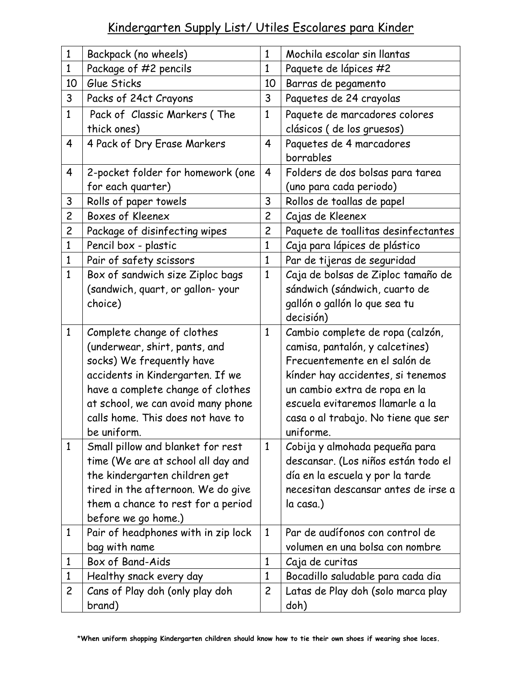#### Kindergarten Supply List/ Utiles Escolares para Kinder

| $\mathbf{1}$   | Backpack (no wheels)                | $\mathbf{1}$   | Mochila escolar sin llantas         |
|----------------|-------------------------------------|----------------|-------------------------------------|
| $\mathbf{1}$   | Package of #2 pencils               | $\mathbf{1}$   | Paquete de lápices #2               |
| 10             | Glue Sticks                         | 10             | Barras de pegamento                 |
| 3              | Packs of 24ct Crayons               | 3              | Paquetes de 24 crayolas             |
| $\mathbf{1}$   | Pack of Classic Markers (The        | $\mathbf{1}$   | Paquete de marcadores colores       |
|                | thick ones)                         |                | clásicos (de los gruesos)           |
| 4              | 4 Pack of Dry Erase Markers         | 4              | Paquetes de 4 marcadores            |
|                |                                     |                | borrables                           |
| 4              | 2-pocket folder for homework (one   | 4              | Folders de dos bolsas para tarea    |
|                | for each quarter)                   |                | (uno para cada periodo)             |
| 3              | Rolls of paper towels               | 3              | Rollos de toallas de papel          |
| $\overline{c}$ | Boxes of Kleenex                    | $\overline{c}$ | Cajas de Kleenex                    |
| $\overline{c}$ | Package of disinfecting wipes       | $\overline{c}$ | Paquete de toallitas desinfectantes |
| $\mathbf{1}$   | Pencil box - plastic                | $\mathbf{1}$   | Caja para lápices de plástico       |
| $\mathbf{1}$   | Pair of safety scissors             | $\mathbf{1}$   | Par de tijeras de seguridad         |
| $\mathbf{1}$   | Box of sandwich size Ziploc bags    | $\mathbf{1}$   | Caja de bolsas de Ziploc tamaño de  |
|                | (sandwich, quart, or gallon-your    |                | sándwich (sándwich, cuarto de       |
|                | choice)                             |                | gallón o gallón lo que sea tu       |
|                |                                     |                | decisión)                           |
| $\mathbf{1}$   | Complete change of clothes          | $\mathbf{1}$   | Cambio complete de ropa (calzón,    |
|                | (underwear, shirt, pants, and       |                | camisa, pantalón, y calcetines)     |
|                | socks) We frequently have           |                | Frecuentemente en el salón de       |
|                | accidents in Kindergarten. If we    |                | kínder hay accidentes, si tenemos   |
|                | have a complete change of clothes   |                | un cambio extra de ropa en la       |
|                | at school, we can avoid many phone  |                | escuela evitaremos llamarle a la    |
|                | calls home. This does not have to   |                | casa o al trabajo. No tiene que ser |
|                | be uniform.                         |                | uniforme.                           |
| $\mathbf{1}$   | Small pillow and blanket for rest   | $\mathbf{1}$   | Cobija y almohada pequeña para      |
|                | time (We are at school all day and  |                | descansar. (Los niños están todo el |
|                | the kindergarten children get       |                | día en la escuela y por la tarde    |
|                | tired in the afternoon. We do give  |                | necesitan descansar antes de irse a |
|                | them a chance to rest for a period  |                | la casa.)                           |
|                | before we go home.)                 |                |                                     |
| 1              | Pair of headphones with in zip lock | $\mathbf{1}$   | Par de audífonos con control de     |
|                | bag with name                       |                | volumen en una bolsa con nombre     |
| $\mathbf{1}$   | Box of Band-Aids                    | $\mathbf{1}$   | Caja de curitas                     |
| $\mathbf{1}$   | Healthy snack every day             | $\mathbf{1}$   | Bocadillo saludable para cada dia   |
| $\overline{c}$ | Cans of Play doh (only play doh     | $\overline{c}$ | Latas de Play doh (solo marca play  |
|                | brand)                              |                | doh)                                |

\***When uniform shopping Kindergarten children should know how to tie their own shoes if wearing shoe laces.**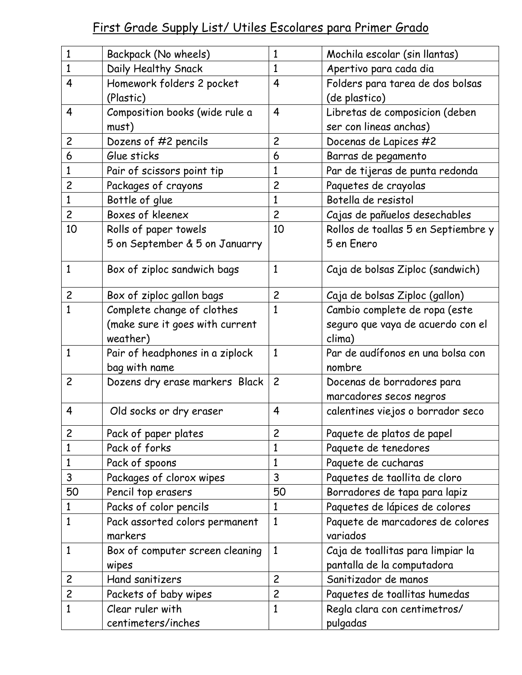# First Grade Supply List/ Utiles Escolares para Primer Grado

| 1              | Backpack (No wheels)            | $\mathbf{1}$   | Mochila escolar (sin llantas)       |
|----------------|---------------------------------|----------------|-------------------------------------|
| $\mathbf{1}$   | Daily Healthy Snack             | 1              | Apertivo para cada dia              |
| 4              | Homework folders 2 pocket       | $\overline{4}$ | Folders para tarea de dos bolsas    |
|                | (Plastic)                       |                | (de plastico)                       |
| 4              | Composition books (wide rule a  | $\overline{4}$ | Libretas de composicion (deben      |
|                | must)                           |                | ser con lineas anchas)              |
| $\overline{c}$ | Dozens of #2 pencils            | $\overline{c}$ | Docenas de Lapices #2               |
| 6              | Glue sticks                     | 6              | Barras de pegamento                 |
| $\mathbf{1}$   | Pair of scissors point tip      | 1              | Par de tijeras de punta redonda     |
| $\overline{c}$ | Packages of crayons             | $\overline{c}$ | Paquetes de crayolas                |
| $\mathbf{1}$   | Bottle of glue                  | $\mathbf{1}$   | Botella de resistol                 |
| $\overline{c}$ | Boxes of kleenex                | $\overline{c}$ | Cajas de pañuelos desechables       |
| 10             | Rolls of paper towels           | 10             | Rollos de toallas 5 en Septiembre y |
|                | 5 on September & 5 on Januarry  |                | 5 en Enero                          |
| 1              | Box of ziploc sandwich bags     | $\mathbf{1}$   | Caja de bolsas Ziploc (sandwich)    |
|                |                                 |                |                                     |
| $\overline{c}$ | Box of ziploc gallon bags       | $\overline{c}$ | Caja de bolsas Ziploc (gallon)      |
| $\mathbf{1}$   | Complete change of clothes      | $\mathbf{1}$   | Cambio complete de ropa (este       |
|                | (make sure it goes with current |                | seguro que vaya de acuerdo con el   |
|                | weather)                        |                | clima)                              |
| $\mathbf{1}$   | Pair of headphones in a ziplock | $\mathbf{1}$   | Par de audífonos en una bolsa con   |
|                | bag with name                   |                | nombre                              |
| $\overline{c}$ | Dozens dry erase markers Black  | $\overline{c}$ | Docenas de borradores para          |
|                |                                 |                | marcadores secos negros             |
| 4              | Old socks or dry eraser         | 4              | calentines viejos o borrador seco   |
| $\overline{c}$ | Pack of paper plates            | $\overline{c}$ | Paquete de platos de papel          |
| $\mathbf{1}$   | Pack of forks                   | 1              | Paquete de tenedores                |
| $\mathbf{1}$   | Pack of spoons                  | 1              | Paquete de cucharas                 |
| 3              | Packages of clorox wipes        | 3              | Paquetes de taollita de cloro       |
| 50             | Pencil top erasers              | 50             | Borradores de tapa para lapiz       |
| $\mathbf{1}$   | Packs of color pencils          | $\mathbf{1}$   | Paquetes de lápices de colores      |
| $\overline{1}$ | Pack assorted colors permanent  | $\mathbf{1}$   | Paquete de marcadores de colores    |
|                | markers                         |                | variados                            |
| $\mathbf{1}$   | Box of computer screen cleaning | $\mathbf{1}$   | Caja de toallitas para limpiar la   |
|                | wipes                           |                | pantalla de la computadora          |
| $\overline{c}$ | Hand sanitizers                 | $\overline{c}$ | Sanitizador de manos                |
| $\overline{c}$ | Packets of baby wipes           | $\overline{c}$ | Paquetes de toallitas humedas       |
| $\mathbf{1}$   | Clear ruler with                | $\mathbf{1}$   | Regla clara con centimetros/        |
|                | centimeters/inches              |                | pulgadas                            |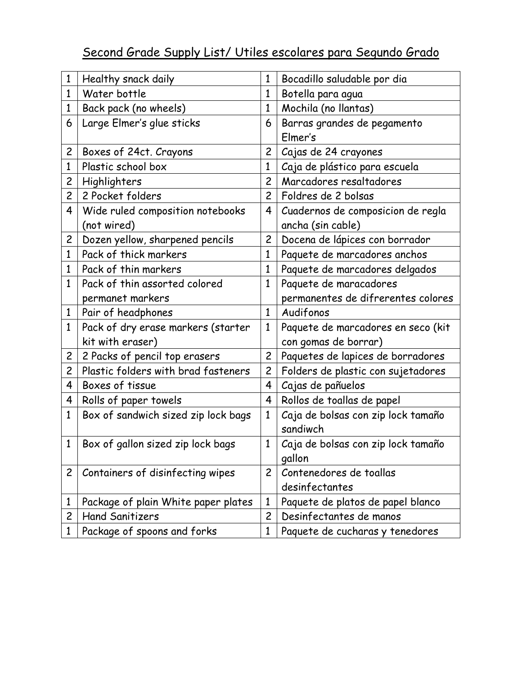# Second Grade Supply List/ Utiles escolares para Segundo Grado

| 1              | Healthy snack daily                 | $\mathbf{1}$   | Bocadillo saludable por dia                  |
|----------------|-------------------------------------|----------------|----------------------------------------------|
| $\mathbf{1}$   | Water bottle                        | $\mathbf{1}$   | Botella para agua                            |
| $\mathbf{1}$   | Back pack (no wheels)               | $\mathbf{1}$   | Mochila (no llantas)                         |
| 6              | Large Elmer's glue sticks           | 6              | Barras grandes de pegamento                  |
|                |                                     |                | Elmer's                                      |
| $\overline{c}$ | Boxes of 24ct. Crayons              | $\overline{c}$ | Cajas de 24 crayones                         |
| 1              | Plastic school box                  | $\mathbf{1}$   | Caja de plástico para escuela                |
| $\overline{c}$ | Highlighters                        | $\overline{c}$ | Marcadores resaltadores                      |
| $\overline{c}$ | 2 Pocket folders                    | $\overline{c}$ | Foldres de 2 bolsas                          |
| 4              | Wide ruled composition notebooks    | $\overline{4}$ | Cuadernos de composicion de regla            |
|                | (not wired)                         |                | ancha (sin cable)                            |
| $\overline{c}$ | Dozen yellow, sharpened pencils     | $\overline{c}$ | Docena de lápices con borrador               |
| $\mathbf{1}$   | Pack of thick markers               | $\mathbf{1}$   | Paquete de marcadores anchos                 |
| 1              | Pack of thin markers                | $\mathbf{1}$   | Paquete de marcadores delgados               |
| $\mathbf{1}$   | Pack of thin assorted colored       | $\mathbf{1}$   | Paquete de maracadores                       |
|                | permanet markers                    |                | permanentes de difrerentes colores           |
| $\mathbf{1}$   | Pair of headphones                  | $\mathbf{1}$   | Audifonos                                    |
| $\mathbf{1}$   | Pack of dry erase markers (starter  | $\mathbf{1}$   | Paquete de marcadores en seco (kit           |
|                | kit with eraser)                    |                | con gomas de borrar)                         |
| $\overline{c}$ | 2 Packs of pencil top erasers       | $\overline{c}$ | Paquetes de lapices de borradores            |
| $\overline{c}$ | Plastic folders with brad fasteners | $\overline{c}$ | Folders de plastic con sujetadores           |
| 4              | Boxes of tissue                     | 4              | Cajas de pañuelos                            |
| 4              | Rolls of paper towels               | $\overline{4}$ | Rollos de toallas de papel                   |
| $\mathbf{1}$   | Box of sandwich sized zip lock bags | $\mathbf{1}$   | Caja de bolsas con zip lock tamaño           |
|                |                                     |                | sandiwch                                     |
| $\mathbf{1}$   | Box of gallon sized zip lock bags   | $\mathbf{1}$   | Caja de bolsas con zip lock tamaño<br>gallon |
| $\overline{c}$ | Containers of disinfecting wipes    | $\overline{2}$ | Contenedores de toallas                      |
|                |                                     |                | desinfectantes                               |
| 1              | Package of plain White paper plates | $\mathbf{1}$   | Paquete de platos de papel blanco            |
| $\overline{c}$ | <b>Hand Sanitizers</b>              | $\overline{c}$ | Desinfectantes de manos                      |
| 1              | Package of spoons and forks         | $\mathbf{1}$   | Paquete de cucharas y tenedores              |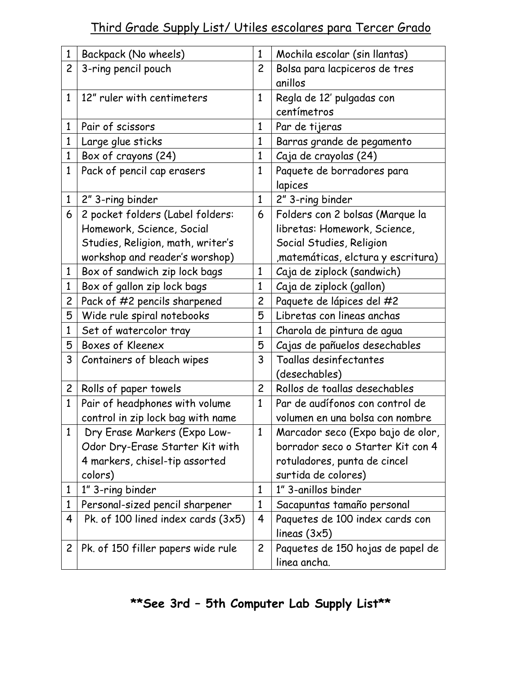# Third Grade Supply List/ Utiles escolares para Tercer Grado

| $\mathbf{1}$   |                                    | 1              |                                          |
|----------------|------------------------------------|----------------|------------------------------------------|
|                | Backpack (No wheels)               |                | Mochila escolar (sin llantas)            |
| $\overline{c}$ | 3-ring pencil pouch                | $\overline{c}$ | Bolsa para lacpiceros de tres<br>anillos |
| $\mathbf{1}$   | 12" ruler with centimeters         | 1              | Regla de 12' pulgadas con                |
|                |                                    |                | centímetros                              |
| $\mathbf{1}$   | Pair of scissors                   | $\mathbf{1}$   | Par de tijeras                           |
| $\mathbf{1}$   | Large glue sticks                  | 1              | Barras grande de pegamento               |
| 1              | Box of crayons (24)                | 1              | Caja de crayolas (24)                    |
| $\mathbf{1}$   | Pack of pencil cap erasers         | $\mathbf{1}$   | Paquete de borradores para               |
|                |                                    |                | lapices                                  |
| $\mathbf{1}$   | 2" 3-ring binder                   | $\mathbf{1}$   | 2" 3-ring binder                         |
| 6              | 2 pocket folders (Label folders:   | 6              | Folders con 2 bolsas (Marque la          |
|                | Homework, Science, Social          |                | libretas: Homework, Science,             |
|                | Studies, Religion, math, writer's  |                | Social Studies, Religion                 |
|                | workshop and reader's worshop)     |                | , matemáticas, elctura y escritura)      |
| $\mathbf{1}$   | Box of sandwich zip lock bags      | $\mathbf{1}$   | Caja de ziplock (sandwich)               |
| $\mathbf{1}$   | Box of gallon zip lock bags        | $\mathbf{1}$   | Caja de ziplock (gallon)                 |
| $\overline{c}$ | Pack of #2 pencils sharpened       | $\overline{c}$ | Paquete de lápices del #2                |
| 5              | Wide rule spiral notebooks         | 5              | Libretas con lineas anchas               |
| 1              | Set of watercolor tray             | 1              | Charola de pintura de agua               |
| 5              | Boxes of Kleenex                   | 5              | Cajas de pañuelos desechables            |
| 3              | Containers of bleach wipes         | 3              | Toallas desinfectantes                   |
|                |                                    |                | (desechables)                            |
| $\mathsf{2}$   | Rolls of paper towels              | $\overline{2}$ | Rollos de toallas desechables            |
| $\mathbf{1}$   | Pair of headphones with volume     | $\mathbf{1}$   | Par de audífonos con control de          |
|                | control in zip lock bag with name  |                | volumen en una bolsa con nombre          |
| $\mathbf{1}$   | Dry Erase Markers (Expo Low-       | 1              | Marcador seco (Expo bajo de olor,        |
|                | Odor Dry-Erase Starter Kit with    |                | borrador seco o Starter Kit con 4        |
|                | 4 markers, chisel-tip assorted     |                | rotuladores, punta de cincel             |
|                | colors)                            |                | surtida de colores)                      |
| 1              | 1" 3-ring binder                   | 1              | 1" 3-anillos binder                      |
| $\mathbf{1}$   | Personal-sized pencil sharpener    | 1              | Sacapuntas tamaño personal               |
| 4              | Pk. of 100 lined index cards (3x5) | 4              | Paquetes de 100 index cards con          |
|                |                                    |                | lineas $(3x5)$                           |
| $\overline{c}$ | Pk. of 150 filler papers wide rule | $\overline{c}$ | Paquetes de 150 hojas de papel de        |
|                |                                    |                | linea ancha.                             |

### **\*\*See 3rd – 5th Computer Lab Supply List\*\***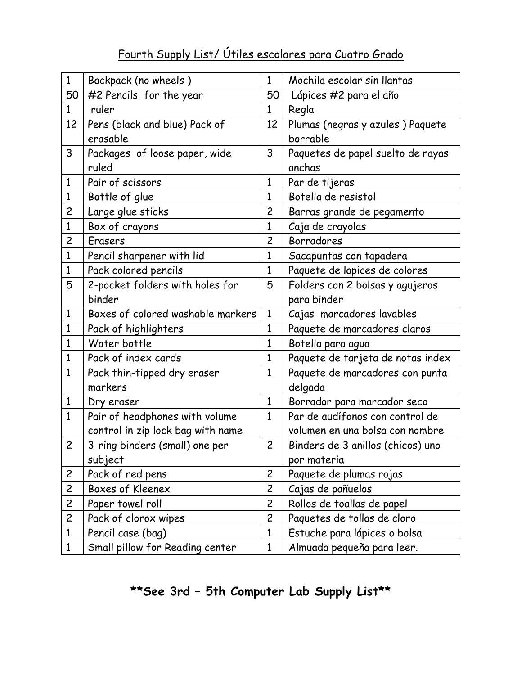### Fourth Supply List/ Útiles escolares para Cuatro Grado

| $\mathbf{1}$   | Backpack (no wheels)              | $\mathbf{1}$   | Mochila escolar sin llantas       |
|----------------|-----------------------------------|----------------|-----------------------------------|
| 50             | #2 Pencils for the year           | 50             | Lápices #2 para el año            |
| $\mathbf{1}$   | ruler                             | $\mathbf{1}$   | Regla                             |
| 12             | Pens (black and blue) Pack of     | 12             | Plumas (negras y azules) Paquete  |
|                | erasable                          |                | borrable                          |
| 3              | Packages of loose paper, wide     | 3              | Paquetes de papel suelto de rayas |
|                | ruled                             |                | anchas                            |
| 1              | Pair of scissors                  | $\mathbf{1}$   | Par de tijeras                    |
| $\mathbf{1}$   | Bottle of glue                    | $\mathbf{1}$   | Botella de resistol               |
| $\overline{c}$ | Large glue sticks                 | $\overline{c}$ | Barras grande de pegamento        |
| $\mathbf{1}$   | Box of crayons                    | $\mathbf{1}$   | Caja de crayolas                  |
| $\overline{c}$ | <b>Erasers</b>                    | $\overline{c}$ | <b>Borradores</b>                 |
| $\mathbf{1}$   | Pencil sharpener with lid         | $\mathbf{1}$   | Sacapuntas con tapadera           |
| $\mathbf{1}$   | Pack colored pencils              | $\mathbf{1}$   | Paquete de lapices de colores     |
| 5              | 2-pocket folders with holes for   | 5              | Folders con 2 bolsas y agujeros   |
|                | binder                            |                | para binder                       |
| $\mathbf{1}$   | Boxes of colored washable markers | $\mathbf{1}$   | Cajas marcadores lavables         |
| $\mathbf{1}$   | Pack of highlighters              | $\mathbf{1}$   | Paquete de marcadores claros      |
| $\mathbf{1}$   | Water bottle                      | $\mathbf{1}$   | Botella para agua                 |
| $\mathbf{1}$   | Pack of index cards               | $\mathbf{1}$   | Paquete de tarjeta de notas index |
| $\mathbf{1}$   | Pack thin-tipped dry eraser       | $\mathbf{1}$   | Paquete de marcadores con punta   |
|                | markers                           |                | delgada                           |
| $\mathbf{1}$   | Dry eraser                        | $\mathbf{1}$   | Borrador para marcador seco       |
| $\mathbf{1}$   | Pair of headphones with volume    | $\mathbf{1}$   | Par de audífonos con control de   |
|                | control in zip lock bag with name |                | volumen en una bolsa con nombre   |
| $\overline{c}$ | 3-ring binders (small) one per    | $\overline{c}$ | Binders de 3 anillos (chicos) uno |
|                | subject                           |                | por materia                       |
| $\overline{c}$ | Pack of red pens                  | $\overline{c}$ | Paquete de plumas rojas           |
| $\overline{c}$ | Boxes of Kleenex                  | $\overline{c}$ | Cajas de pañuelos                 |
| $\overline{c}$ | Paper towel roll                  | $\overline{c}$ | Rollos de toallas de papel        |
| $\overline{c}$ | Pack of clorox wipes              | $\overline{c}$ | Paquetes de tollas de cloro       |
| $\mathbf{1}$   | Pencil case (bag)                 | $\mathbf{1}$   | Estuche para lápices o bolsa      |
| $\mathbf{1}$   | Small pillow for Reading center   | $\mathbf{1}$   | Almuada pequeña para leer.        |

# **\*\*See 3rd – 5th Computer Lab Supply List\*\***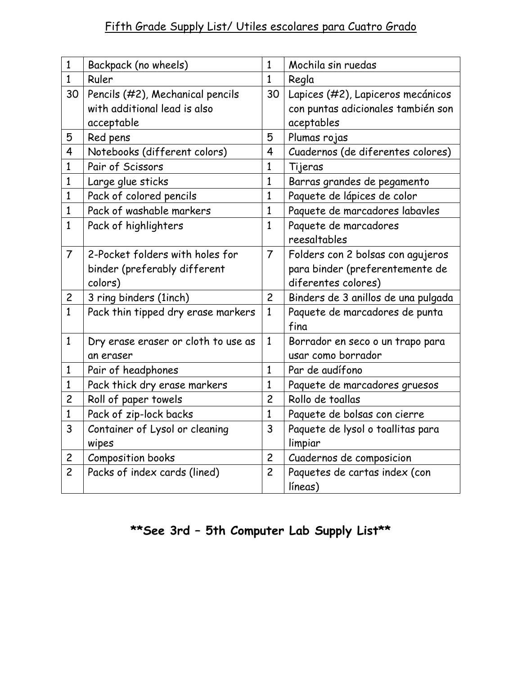#### Fifth Grade Supply List/ Utiles escolares para Cuatro Grado

| $\mathbf{1}$   | Backpack (no wheels)                | $\mathbf{1}$   | Mochila sin ruedas                  |
|----------------|-------------------------------------|----------------|-------------------------------------|
| $\mathbf{1}$   | Ruler                               | $\mathbf{1}$   | Regla                               |
| 30             | Pencils (#2), Mechanical pencils    | 30             | Lapices (#2), Lapiceros mecánicos   |
|                | with additional lead is also        |                | con puntas adicionales también son  |
|                | acceptable                          |                | aceptables                          |
| 5              | Red pens                            | 5              | Plumas rojas                        |
| 4              | Notebooks (different colors)        | 4              | Cuadernos (de diferentes colores)   |
| $\mathbf{1}$   | Pair of Scissors                    | 1              | Tijeras                             |
| 1              | Large glue sticks                   | $\mathbf{1}$   | Barras grandes de pegamento         |
| $\mathbf{1}$   | Pack of colored pencils             | 1              | Paquete de lápices de color         |
| 1              | Pack of washable markers            | $\mathbf{1}$   | Paquete de marcadores labavles      |
| $\mathbf{1}$   | Pack of highlighters                | 1              | Paquete de marcadores               |
|                |                                     |                | reesaltables                        |
| $\overline{7}$ | 2-Pocket folders with holes for     | $\overline{7}$ | Folders con 2 bolsas con agujeros   |
|                | binder (preferably different        |                | para binder (preferentemente de     |
|                | colors)                             |                | diferentes colores)                 |
| $\overline{c}$ | 3 ring binders (1inch)              | $\overline{c}$ | Binders de 3 anillos de una pulgada |
| $\mathbf{1}$   | Pack thin tipped dry erase markers  | $\mathbf{1}$   | Paquete de marcadores de punta      |
|                |                                     |                | fina                                |
| $\mathbf{1}$   | Dry erase eraser or cloth to use as | $\mathbf{1}$   | Borrador en seco o un trapo para    |
|                | an eraser                           |                | usar como borrador                  |
| 1              | Pair of headphones                  | $\mathbf{1}$   | Par de audífono                     |
| $\mathbf{1}$   | Pack thick dry erase markers        | $\mathbf{1}$   | Paquete de marcadores gruesos       |
| $\overline{c}$ | Roll of paper towels                | $\overline{c}$ | Rollo de toallas                    |
| $\mathbf{1}$   | Pack of zip-lock backs              | $\mathbf{1}$   | Paquete de bolsas con cierre        |
| 3              | Container of Lysol or cleaning      | 3              | Paquete de lysol o toallitas para   |
|                | wipes                               |                | limpiar                             |
| $\overline{c}$ | Composition books                   | $\overline{c}$ | Cuadernos de composicion            |
| $\overline{c}$ | Packs of index cards (lined)        | $\overline{c}$ | Paquetes de cartas index (con       |
|                |                                     |                | líneas)                             |

# **\*\*See 3rd – 5th Computer Lab Supply List\*\***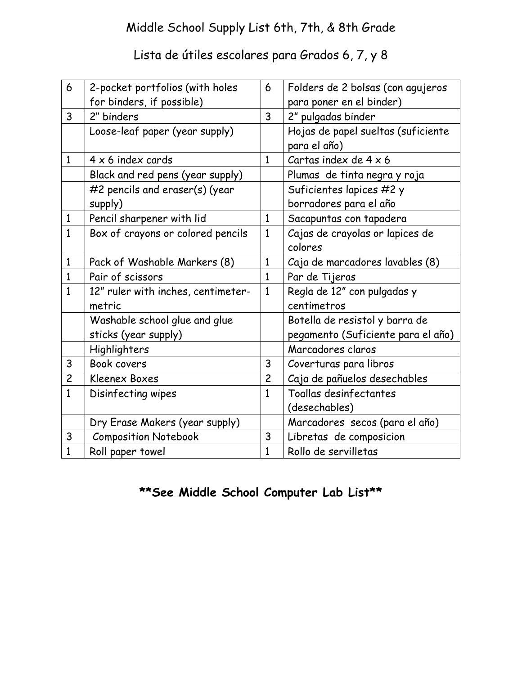#### Middle School Supply List 6th, 7th, & 8th Grade

### Lista de útiles escolares para Grados 6, 7, y 8

| 6              | 2-pocket portfolios (with holes    | 6              | Folders de 2 bolsas (con agujeros  |
|----------------|------------------------------------|----------------|------------------------------------|
|                | for binders, if possible)          |                | para poner en el binder)           |
| $\mathbf{3}$   | 2" binders                         | 3              | 2" pulgadas binder                 |
|                | Loose-leaf paper (year supply)     |                | Hojas de papel sueltas (suficiente |
|                |                                    |                | para el año)                       |
| $\mathbf{1}$   | $4 \times 6$ index cards           | $\mathbf{1}$   | Cartas index de $4 \times 6$       |
|                | Black and red pens (year supply)   |                | Plumas de tinta negra y roja       |
|                | #2 pencils and eraser(s) (year     |                | Suficientes lapices #2 y           |
|                | supply)                            |                | borradores para el año             |
| $\mathbf{1}$   | Pencil sharpener with lid          | $\mathbf{1}$   | Sacapuntas con tapadera            |
| $\mathbf{1}$   | Box of crayons or colored pencils  | $\mathbf{1}$   | Cajas de crayolas or lapices de    |
|                |                                    |                | colores                            |
| $\mathbf{1}$   | Pack of Washable Markers (8)       | $\mathbf{1}$   | Caja de marcadores lavables (8)    |
| $\mathbf{1}$   | Pair of scissors                   | $\mathbf{1}$   | Par de Tijeras                     |
| $\mathbf{1}$   | 12" ruler with inches, centimeter- | $\mathbf{1}$   | Regla de 12" con pulgadas y        |
|                | metric                             |                | centimetros                        |
|                | Washable school glue and glue      |                | Botella de resistol y barra de     |
|                | sticks (year supply)               |                | pegamento (Suficiente para el año) |
|                | Highlighters                       |                | Marcadores claros                  |
| 3              | Book covers                        | 3              | Coverturas para libros             |
| $\overline{c}$ | Kleenex Boxes                      | $\overline{c}$ | Caja de pañuelos desechables       |
| $\mathbf{1}$   | Disinfecting wipes                 | $\mathbf{1}$   | Toallas desinfectantes             |
|                |                                    |                | (desechables)                      |
|                | Dry Erase Makers (year supply)     |                | Marcadores secos (para el año)     |
| 3              | <b>Composition Notebook</b>        | 3              | Libretas de composicion            |
| $\mathbf{1}$   | Roll paper towel                   | $\mathbf{1}$   | Rollo de servilletas               |

### **\*\*See Middle School Computer Lab List\*\***